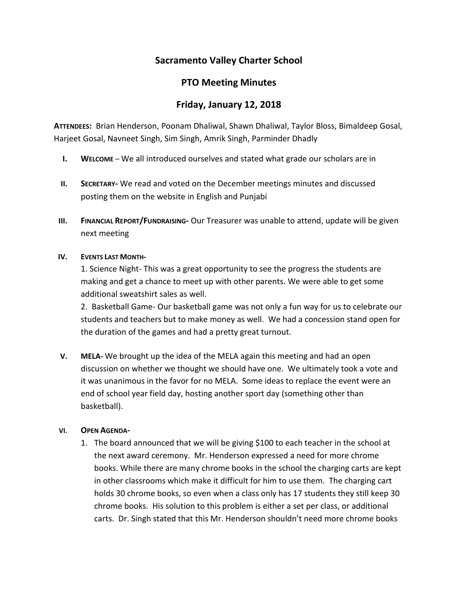# **Sacramento Valley Charter School**

### **PTO Meeting Minutes**

## **Friday, January 12, 2018**

**ATTENDEES:** Brian Henderson, Poonam Dhaliwal, Shawn Dhaliwal, Taylor Bloss, Bimaldeep Gosal, Harjeet Gosal, Navneet Singh, Sim Singh, Amrik Singh, Parminder Dhadly

- **I. WELCOME** We all introduced ourselves and stated what grade our scholars are in
- **II. SECRETARY-** We read and voted on the December meetings minutes and discussed posting them on the website in English and Punjabi
- **III. FINANCIAL REPORT/FUNDRAISING-** Our Treasurer was unable to attend, update will be given next meeting

#### **IV. EVENTS LAST MONTH-**

1. Science Night- This was a great opportunity to see the progress the students are making and get a chance to meet up with other parents. We were able to get some additional sweatshirt sales as well.

2. Basketball Game- Our basketball game was not only a fun way for us to celebrate our students and teachers but to make money as well. We had a concession stand open for the duration of the games and had a pretty great turnout.

**V. MELA-** We brought up the idea of the MELA again this meeting and had an open discussion on whether we thought we should have one. We ultimately took a vote and it was unanimous in the favor for no MELA. Some ideas to replace the event were an end of school year field day, hosting another sport day (something other than basketball).

#### **VI. OPEN AGENDA-**

1. The board announced that we will be giving \$100 to each teacher in the school at the next award ceremony. Mr. Henderson expressed a need for more chrome books. While there are many chrome books in the school the charging carts are kept in other classrooms which make it difficult for him to use them. The charging cart holds 30 chrome books, so even when a class only has 17 students they still keep 30 chrome books. His solution to this problem is either a set per class, or additional carts. Dr. Singh stated that this Mr. Henderson shouldn't need more chrome books